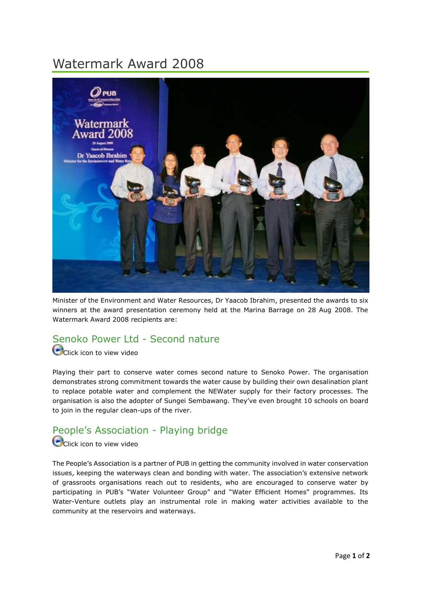# Watermark Award 2008



Minister of the Environment and Water Resources, Dr Yaacob Ibrahim, presented the awards to six winners at the award presentation ceremony held at the Marina Barrage on 28 Aug 2008. The Watermark Award 2008 recipients are:

### Senoko Power Ltd - Second nature

Click icon to view video

Playing their part to conserve water comes second nature to Senoko Power. The organisation demonstrates strong commitment towards the water cause by building their own desalination plant to replace potable water and complement the NEWater supply for their factory processes. The organisation is also the adopter of Sungei Sembawang. They've even brought 10 schools on board to join in the regular clean-ups of the river.

## People's Association - Playing bridge

#### Click icon to view video

The People's Association is a partner of PUB in getting the community involved in water conservation issues, keeping the waterways clean and bonding with water. The association's extensive network of grassroots organisations reach out to residents, who are encouraged to conserve water by participating in PUB's "Water Volunteer Group" and "Water Efficient Homes" programmes. Its Water-Venture outlets play an instrumental role in making water activities available to the community at the reservoirs and waterways.